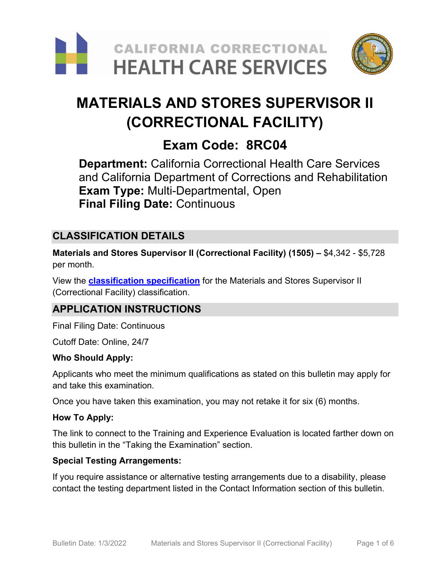



# **MATERIALS AND STORES SUPERVISOR II (CORRECTIONAL FACILITY)**

## **Exam Code: 8RC04**

**Department:** California Correctional Health Care Services and California Department of Corrections and Rehabilitation **Exam Type:** Multi-Departmental, Open **Final Filing Date:** Continuous

## **CLASSIFICATION DETAILS**

**Materials and Stores Supervisor II (Correctional Facility) (1505) –** \$4,342 - \$5,728 per month.

View the **[classification specification](https://www.calhr.ca.gov/state-hr-professionals/pages/1508.aspx)** for the Materials and Stores Supervisor II (Correctional Facility) classification.

## **APPLICATION INSTRUCTIONS**

Final Filing Date: Continuous

Cutoff Date: Online, 24/7

#### **Who Should Apply:**

Applicants who meet the minimum qualifications as stated on this bulletin may apply for and take this examination.

Once you have taken this examination, you may not retake it for six (6) months.

#### **How To Apply:**

The link to connect to the Training and Experience Evaluation is located farther down on this bulletin in the "Taking the Examination" section.

#### **Special Testing Arrangements:**

If you require assistance or alternative testing arrangements due to a disability, please contact the testing department listed in the Contact Information section of this bulletin.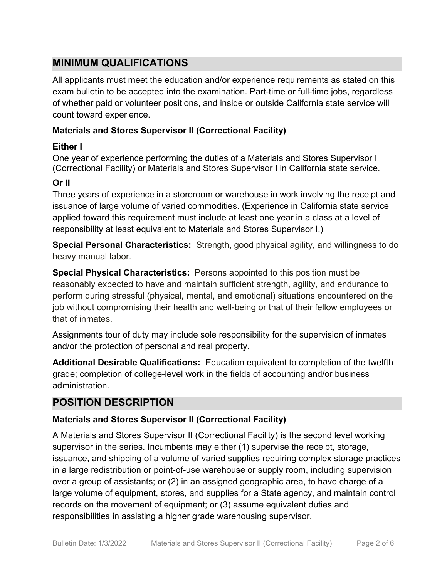## **MINIMUM QUALIFICATIONS**

All applicants must meet the education and/or experience requirements as stated on this exam bulletin to be accepted into the examination. Part-time or full-time jobs, regardless of whether paid or volunteer positions, and inside or outside California state service will count toward experience.

#### **Materials and Stores Supervisor II (Correctional Facility)**

#### **Either I**

One year of experience performing the duties of a Materials and Stores Supervisor I (Correctional Facility) or Materials and Stores Supervisor I in California state service.

#### **Or II**

Three years of experience in a storeroom or warehouse in work involving the receipt and issuance of large volume of varied commodities. (Experience in California state service applied toward this requirement must include at least one year in a class at a level of responsibility at least equivalent to Materials and Stores Supervisor I.)

**Special Personal Characteristics:** Strength, good physical agility, and willingness to do heavy manual labor.

**Special Physical Characteristics:** Persons appointed to this position must be reasonably expected to have and maintain sufficient strength, agility, and endurance to perform during stressful (physical, mental, and emotional) situations encountered on the job without compromising their health and well-being or that of their fellow employees or that of inmates.

Assignments tour of duty may include sole responsibility for the supervision of inmates and/or the protection of personal and real property.

**Additional Desirable Qualifications:** Education equivalent to completion of the twelfth grade; completion of college-level work in the fields of accounting and/or business administration.

## **POSITION DESCRIPTION**

#### **Materials and Stores Supervisor II (Correctional Facility)**

A Materials and Stores Supervisor II (Correctional Facility) is the second level working supervisor in the series. Incumbents may either (1) supervise the receipt, storage, issuance, and shipping of a volume of varied supplies requiring complex storage practices in a large redistribution or point-of-use warehouse or supply room, including supervision over a group of assistants; or (2) in an assigned geographic area, to have charge of a large volume of equipment, stores, and supplies for a State agency, and maintain control records on the movement of equipment; or (3) assume equivalent duties and responsibilities in assisting a higher grade warehousing supervisor.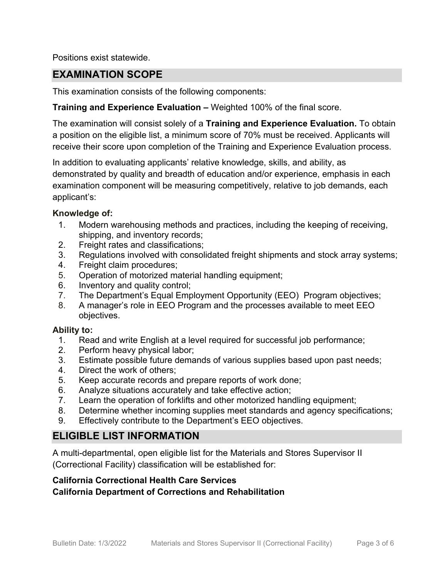Positions exist statewide.

## **EXAMINATION SCOPE**

This examination consists of the following components:

#### **Training and Experience Evaluation –** Weighted 100% of the final score.

The examination will consist solely of a **Training and Experience Evaluation.** To obtain a position on the eligible list, a minimum score of 70% must be received. Applicants will receive their score upon completion of the Training and Experience Evaluation process.

In addition to evaluating applicants' relative knowledge, skills, and ability, as demonstrated by quality and breadth of education and/or experience, emphasis in each examination component will be measuring competitively, relative to job demands, each applicant's:

#### **Knowledge of:**

- 1. Modern warehousing methods and practices, including the keeping of receiving, shipping, and inventory records;
- 2. Freight rates and classifications;
- 3. Regulations involved with consolidated freight shipments and stock array systems;
- 4. Freight claim procedures;
- 5. Operation of motorized material handling equipment;
- 6. Inventory and quality control;
- 7. The Department's Equal Employment Opportunity (EEO) Program objectives;
- 8. A manager's role in EEO Program and the processes available to meet EEO objectives.

#### **Ability to:**

- 1. Read and write English at a level required for successful job performance;
- 2. Perform heavy physical labor;
- 3. Estimate possible future demands of various supplies based upon past needs;
- 4. Direct the work of others;
- 5. Keep accurate records and prepare reports of work done;
- 6. Analyze situations accurately and take effective action;
- 7. Learn the operation of forklifts and other motorized handling equipment;
- 8. Determine whether incoming supplies meet standards and agency specifications;
- 9. Effectively contribute to the Department's EEO objectives.

## **ELIGIBLE LIST INFORMATION**

A multi-departmental, open eligible list for the Materials and Stores Supervisor II (Correctional Facility) classification will be established for:

#### **California Correctional Health Care Services**

**California Department of Corrections and Rehabilitation**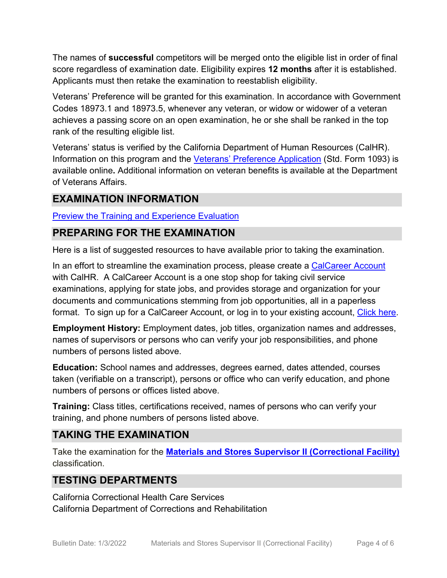The names of **successful** competitors will be merged onto the eligible list in order of final score regardless of examination date. Eligibility expires **12 months** after it is established. Applicants must then retake the examination to reestablish eligibility.

Veterans' Preference will be granted for this examination. In accordance with Government Codes 18973.1 and 18973.5, whenever any veteran, or widow or widower of a veteran achieves a passing score on an open examination, he or she shall be ranked in the top rank of the resulting eligible list.

Veterans' status is verified by the California Department of Human Resources (CalHR). Information on this program and the [Veterans' Preference Application](https://www.jobs.ca.gov/CalHRPublic/Landing/Jobs/VeteransInformation.aspx) (Std. Form 1093) is available online**.** Additional information on veteran benefits is available at the Department of Veterans Affairs.

## **EXAMINATION INFORMATION**

#### [Preview the Training and Experience Evaluation](https://cchcs.ca.gov/wp-content/uploads/sites/60/Careers/Preview-MSSII_CF-TE-Eval.pdf)

## **PREPARING FOR THE EXAMINATION**

Here is a list of suggested resources to have available prior to taking the examination.

In an effort to streamline the examination process, please create a [CalCareer Account](http://www.jobs.ca.gov/) with CalHR. A CalCareer Account is a one stop shop for taking civil service examinations, applying for state jobs, and provides storage and organization for your documents and communications stemming from job opportunities, all in a paperless format. To sign up for a CalCareer Account, or log in to your existing account, [Click here.](http://www.jobs.ca.gov/)

**Employment History:** Employment dates, job titles, organization names and addresses, names of supervisors or persons who can verify your job responsibilities, and phone numbers of persons listed above.

**Education:** School names and addresses, degrees earned, dates attended, courses taken (verifiable on a transcript), persons or office who can verify education, and phone numbers of persons or offices listed above.

**Training:** Class titles, certifications received, names of persons who can verify your training, and phone numbers of persons listed above.

## **TAKING THE EXAMINATION**

Take the examination for the **[Materials and Stores Supervisor II \(Correctional Facility\)](https://cchcs.hodesiq.com/Apply_online_1.asp?sGoBackExam1=y&ClassCode=1505&ExamID=258&ExamTitle=Materials%20and%20Stores%20Supervisor%20II%20(Correctional%20Facility))** classification.

## **TESTING DEPARTMENTS**

California Correctional Health Care Services California Department of Corrections and Rehabilitation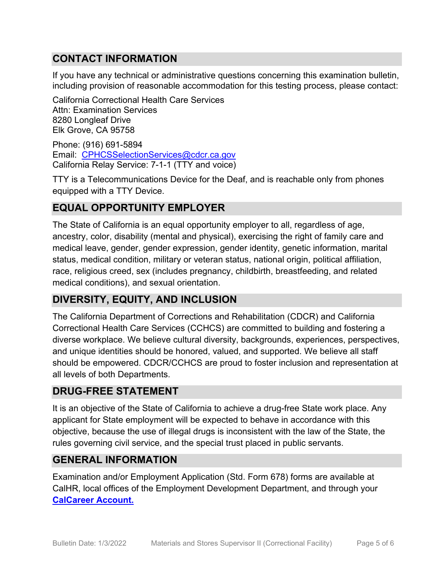## **CONTACT INFORMATION**

If you have any technical or administrative questions concerning this examination bulletin, including provision of reasonable accommodation for this testing process, please contact:

California Correctional Health Care Services Attn: Examination Services 8280 Longleaf Drive Elk Grove, CA 95758

Phone: (916) 691-5894 Email: [CPHCSSelectionServices@cdcr.ca.gov](mailto:CPHCSSelectionServices@cdcr.ca.gov) California Relay Service: 7-1-1 (TTY and voice)

TTY is a Telecommunications Device for the Deaf, and is reachable only from phones equipped with a TTY Device.

## **EQUAL OPPORTUNITY EMPLOYER**

The State of California is an equal opportunity employer to all, regardless of age, ancestry, color, disability (mental and physical), exercising the right of family care and medical leave, gender, gender expression, gender identity, genetic information, marital status, medical condition, military or veteran status, national origin, political affiliation, race, religious creed, sex (includes pregnancy, childbirth, breastfeeding, and related medical conditions), and sexual orientation.

## **DIVERSITY, EQUITY, AND INCLUSION**

The California Department of Corrections and Rehabilitation (CDCR) and California Correctional Health Care Services (CCHCS) are committed to building and fostering a diverse workplace. We believe cultural diversity, backgrounds, experiences, perspectives, and unique identities should be honored, valued, and supported. We believe all staff should be empowered. CDCR/CCHCS are proud to foster inclusion and representation at all levels of both Departments.

## **DRUG-FREE STATEMENT**

It is an objective of the State of California to achieve a drug-free State work place. Any applicant for State employment will be expected to behave in accordance with this objective, because the use of illegal drugs is inconsistent with the law of the State, the rules governing civil service, and the special trust placed in public servants.

## **GENERAL INFORMATION**

Examination and/or Employment Application (Std. Form 678) forms are available at CalHR, local offices of the Employment Development Department, and through your **[CalCareer Account.](http://www.jobs.ca.gov/)**